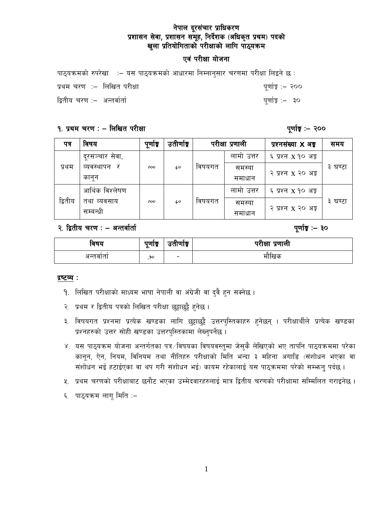## एवं परीक्षा योजना

|                              | ेपाठ्यक्रमको रुपरेखा ∷– यस पाठ्यक्रमको आधारमा निम्नानुसार चरणमा परीक्षा लिइने छ ∷ |                  |
|------------------------------|-----------------------------------------------------------------------------------|------------------|
| प्रथम चरण ∶– लिखित परीक्षा   |                                                                                   | पूर्णाङ्क :– २०० |
| द्वितीय चरण :–  अन्तर्वार्ता |                                                                                   | पुर्णाङ्क :– ३०  |

### १. प्रथम चरण : - लिखित परीक्षा

पूर्णाङ्ग :– २००

पूर्णाङ्क :- ३०

| पत्र    | विषय            | पूणाङ्क | उतीर्णाङ्क |        | परीक्षा प्रणाली | प्रश्नसंख्या <b>X</b> अड्ड | समय     |
|---------|-----------------|---------|------------|--------|-----------------|----------------------------|---------|
|         | दूरसञ्चार सेवा, |         |            |        | लामो उत्तर      | ६ प्रश्न x १० अङ्ग         |         |
| प्रथम   | व्यवस्थापन<br>र | 100     | 40         | विषयगत | समस्या          |                            | ३ घण्टा |
|         | कानून           |         |            |        | समाधान          | २ प्रश्न x २० अङ्ग         |         |
|         | आर्थिक विश्लेषण |         |            |        | लामो उत्तर      | ६ प्रश्न x १० अङ्ग         |         |
| द्वितीय | तथा व्यवसाय     | 100     | 40         | विषयगत | समस्या          | २ प्रश्न x २० अङ्ग         | ३ घण्टा |
|         | सम्बन्धी        |         |            |        | समाधान          |                            |         |

### २. द्वितीय चरण : – अन्तर्वार्ता

| विषय     | पुणाङ्<br>a | $\sim$<br>उताणाइ | परीक्षा प्रणाली |
|----------|-------------|------------------|-----------------|
| अन्तवाता | 30          | -                | मौखिक           |

#### द्रष्टव्य :

- 9. लिखित परीक्षाको माध्यम भाषा नेपाली वा अंग्रेजी वा दुवै हुन सक्नेछ ।
- २. प्रथम र द्वितीय पत्रको लिखित परीक्षा छुट्टाछुट्टै हुनेछ ।
- ३. विषयगत प्रश्नमा प्रत्येक खण्डका लागि छुट्टाछुट्टै उत्तरपुस्तिकाहरु हुनेछन् । परीक्षार्थीले प्रत्येक खण्डका प्रश्नहरुको उत्तर सोही खण्डका उत्तरपुस्तिकामा लेख्नुपर्नेछ ।
- ४. यस पाठ्यक्रम योजना अन्तर्गतका पत्र /विषयका विषयवस्तुमा जेसुकै लेखिएको भए तापनि पाठ्यक्रममा परेका कानून, ऐन, नियम, विनियम तथा नीतिहरु परीक्षाको मिति भन्दा ३ महिना अगाडि (संशोधन भएका वा संशोधन भई हटाईएका वा थप गरी संशोधन भई) कायम रहेकालाई यस पाठुकममा परेको सम्भन्न पर्दछ ।
- ५. प्रथम चरणको परीक्षाबाट छनौट भएका उम्मेदवारहरुलाई मात्र द्वितीय चरणको परीक्षामा सम्मिलित गराइनेछ।
- ६. पाठ्यक्रम लागू मिति :–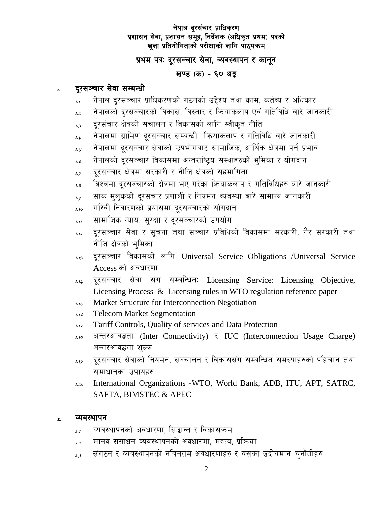# प्रथम पत्रः दूरसञ्चार सेवा, व्यवस्थापन र कानून

## खण्ड (क) - ६० अङ्क

#### दुरसञ्चार सेवा सम्बन्धी  $\mathbf{I}$

- नेपाल दूरसञ्चार प्राधिकरणको गठनको उद्देश्य तथा काम, कर्तव्य र अधिकार  $\overline{1.1}$
- नेपालको दुरसञ्चारको विकास, विस्तार र कियाकलाप एवं गतिविधि बारे जानकारी  $1.2$
- दूरसंचार क्षेत्रको संचालन र विकासको लागि स्वीकृत नीति  $1.3$
- नेपालमा ग्रामिण दूरसञ्चार सम्बन्धी कियाकलाप र गतिविधि बारे जानकारी  $1.4$
- नेपालमा दुरसञ्चार सेवाको उपभोगबाट सामाजिक, आर्थिक क्षेत्रमा पर्ने प्रभाव  $1.5$
- नेपालको दूरसञ्चार विकासमा अन्तराष्ट्रिय संस्थाहरुको भूमिका र योगदान 1.6
- दुरसञ्चार क्षेत्रमा सरकारी र नीजि क्षेत्रको सहभागिता  $1.7$
- विश्वमा दूरसञ्चारको क्षेत्रमा भए गरेका क्रियाकलाप र गतिविधिहरु बारे जानकारी  $1.8$
- सार्क मुलुकको दूरसंचार प्रणाली र नियमन व्यवस्था बारे सामान्य जानकारी  $1.9$
- गरिवी निवारणको प्रयासमा दुरसञ्चारको योगदान  $1.10$
- सामाजिक न्याय, सरक्षा र दरसञ्चारको उपयोग  $1.11$
- दूरसञ्चार सेवा र सूचना तथा सञ्चार प्रविधिको विकासमा सरकारी, गैर सरकारी तथा  $1.12$ नीजि क्षेत्रको भूमिका
- दूरसञ्चार विकासको लागि Universal Service Obligations /Universal Service  $1.13$ Access को अवधारणा
- दूरसञ्चार सेवा संग सम्बन्धितः Licensing Service: Licensing Objective,  $1.1L$ Licensing Process & Licensing rules in WTO regulation reference paper
- Market Structure for Interconnection Negotiation  $1.15$
- **Telecom Market Segmentation**  $1.16$
- Tariff Controls, Quality of services and Data Protection  $1.17$
- अन्तरआवद्धता (Inter Connectivity) र IUC (Interconnection Usage Charge)  $1.18$ अन्तरआवद्धता शुल्क
- दूरसञ्चार सेवाको नियमन, सञ्चालन र विकाससंग सम्बन्धित समस्याहरुको पहिचान तथा  $1.19$ समाधानका उपायहरु
- International Organizations -WTO, World Bank, ADB, ITU, APT, SATRC,  $120$ SAFTA, BIMSTEC & APEC

#### व्यवस्थापन  $\mathbf{z}$

- व्यवस्थापनको अवधारणा, सिद्धान्त र विकासक्रम  $2.1$
- मानव संसाधन व्यवस्थापनको अवधारणा, महत्व, प्रक्रिया  $2.2$
- संगठन र व्यवस्थापनको नविनतम अवधारणाहरु र यसका उदीयमान चुनौतीहरु  $2.3$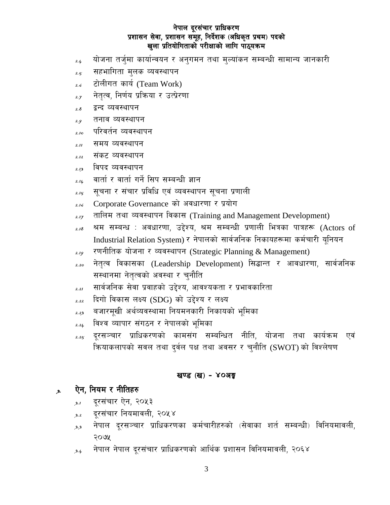- $\lambda_{4}$  and an algebrary indication in the sequence in the value of the superfiest  $\lambda_{4}$
- $_{\mathrm{2.5}}$  : सहभागिता मुलक व्यवस्थापन
- $_{2.6}$  टोलीगत कार्य (Team Work)
- $_{\mathit{2.7}}$   $\,$  नेतृत्व, निर्णय प्रक्रिया र उत्प्रेरणा
- $_{\mathrm{2.8}}$  द्वन्द व्यवस्थापन
- $_{\mathrm{2.9}}$  तनाव व्यवस्थापन
- $_{\rm 2.10}$  ) परिवर्तन व्यवस्थापन
- $_{2.11}$  समय व्यवस्थापन
- <sub>2.12</sub> संकट व्यवस्थापन
- <sub>2.*1*3</sub> विपद व्यवस्थापन
- $_{\textit{2.14}}$   $\,$  वार्ता र वार्ता गर्ने सिप सम्बन्धी ज्ञान
- $_{\mathrm{2.15}}$  ) सूचना र संचार प्रविधि एवं व्यवस्थापन सूचना प्रणाली
- 2.16 Corporate Governance को अवधारणा र प्रयोग
- $_{2.17}$  तालिम तथा व्यवस्थापन विकास (Training and Management Development)
- $_{\mathrm{2.18}}$  श्रम सम्बन्ध : अवधारणा, उद्देश्य, श्रम सम्बन्धी प्रणाली भित्रका पात्रहरू (Actors of Industrial Relation System) र नेपालको सार्वजनिक निकायहरूमा कर्मचारी यूनियन
- $_{2.19}$  रणनीतिक योजना र व्यवस्थापन (Strategic Planning & Management)
- <sub>2.20</sub> नेतृत्व विकासका (Leadership Development) सिद्धान्त र आवधारणा, सार्वजनिक सस्थानमा नेतृत्वको अवस्था र चुनौति
- $_{\mathrm{2.21}}$  ; सार्वजनिक सेवा प्रवाहको उद्देश्य, आवश्यकता र प्रभावकारिता
- $2.22$  दिगो विकास लक्ष्य (SDG) को उद्देश्य र लक्ष्य
- $_{\rm 2.23}$  aजारमूखी अर्थव्यवस्थामा नियमनकारी निकायको भूमिका
- $2.24$  विश्व व्यापार संगठन र नेपालको भूमिका
- $_{\mathrm{2.25}}$  दूरसञ्चार प्राधिकरणको कामसंग सम्बन्धित नीति, योजना तथा कार्यक्रम एवं क्रियाकलापको सवल तथा दुर्वल पक्ष तथा अवसर र चुनौति (SWOT) को विश्लेषण

### खण्ड (ख) - ४०अङ्क

### <sub>,</sub> ऐन, नियम र नीतिहरु

- <sub>3</sub>., दूरसंचार ऐन, २०५३
- $_{3.2}$  दरसंचार नियमावली, २०५४
- $\lambda_{3,3}$  नेपाल दूरसञ्चार प्राधिकरणका कर्मचारीहरुको (सेवाका शर्त सम्बन्धी) विनियमावली,  $300$
- $\lambda_{3.4}$  ) नेपाल नेपाल दूरसंचार प्राधिकरणको आर्थिक प्रशासन विनियमावली, २०६४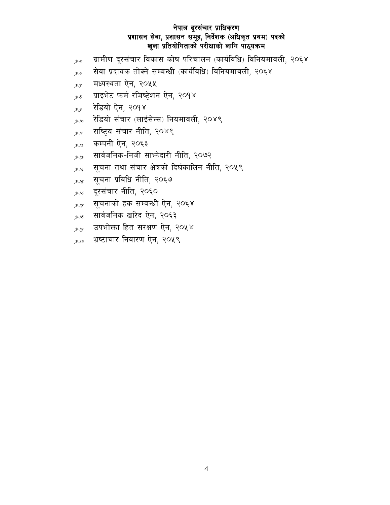- ग्रामीण दुरसंचार विकास कोष परिचालन (कार्यविधि) विनियमावली, २०६४  $3.5$
- सेवा प्रदायक तोक्ने सम्बन्धी (कार्यविधि) विनियमावली, २०६४  $3.6$
- मध्यस्थता ऐन, २०५५  $3.7$
- प्राइभेट फर्म रजिष्ट्रेशन ऐन, २०१४  $3.\delta$
- रेडियो ऐन, २०१४  $3.9$
- रेडियो संचार (लाईसेन्स) नियमावली, २०४९  $3.10$
- राष्ट्रिय संचार नीति, २०४९  $3.11$
- कम्पनी ऐन, २०६३  $3.12$
- सार्वजनिक-निजी साभ्रेदारी नीति, २०७२  $3.13$
- सूचना तथा संचार क्षेत्रको दिर्घकालिन नीति, २०५९  $3.14$
- सूचना प्रविधि नीति, २०६७  $3.15$
- दूरसंचार नीति, २०६०  $3.16$
- सूचनाको हक सम्बन्धी ऐन, २०६४  $3.17$
- सार्वजनिक खरिद ऐन, २०६३  $3.18$
- उपभोक्ता हित संरक्षण ऐन, २०५४  $3.19$
- भ्रष्टाचार निवारण ऐन, २०५९  $3.20$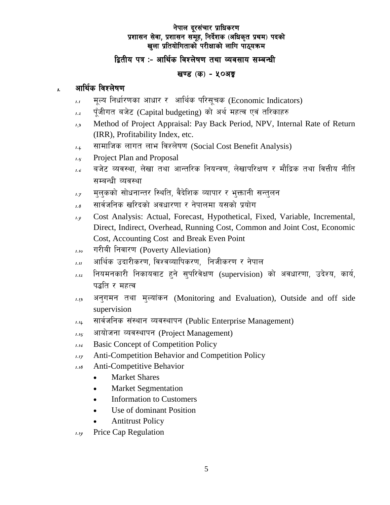## द्वितीय पत्र :- आर्थिक विश्लेषण तथा व्यवसाय सम्बन्धी

## खण्ड (क) - ५०अङ्क

#### आर्थिक विश्लेषण  $\mathbf{r}$

- मूल्य निर्धारणका आधार र आर्थिक परिसूचक (Economic Indicators)  $1.1$
- पूँजीगत बजेट (Capital budgeting) को अर्थ महत्व एवं तरिकाहरु  $1.2$
- Method of Project Appraisal: Pay Back Period, NPV, Internal Rate of Return  $1.3$ (IRR), Profitability Index, etc.
- सामाजिक लागत लाभ विश्लेषण (Social Cost Benefit Analysis)  $1.4$
- Project Plan and Proposal  $1.5^{2}$
- बजेट व्यवस्था, लेखा तथा आन्तरिक नियन्त्रण, लेखापरिक्षण र मौद्रिक तथा वित्तीय नीति  $1.6$ सम्बन्धी व्यवस्था
- मुलुकको सोधनान्तर स्थिति, वैदेशिक व्यापार र भुक्तानी सन्तुलन  $1.7$
- सार्वजनिक खरिदको अवधारणा र नेपालमा यसको प्रयोग  $1.8$
- Cost Analysis: Actual, Forecast, Hypothetical, Fixed, Variable, Incremental,  $1.9$ Direct, Indirect, Overhead, Running Cost, Common and Joint Cost, Economic Cost, Accounting Cost and Break Even Point
- गरीबी निवारण (Poverty Alleviation)  $1.10$
- आर्थिक उदारीकरण, विश्वव्यापिकरण, निजीकरण र नेपाल  $1.11$
- नियमनकारी निकायवाट हुने सुपरिवेक्षण (supervision) को अवधारणा, उदेश्य, कार्य,  $1.12$ पद्धति र महत्व
- अनुगमन तथा मुल्यांकन (Monitoring and Evaluation), Outside and off side  $1.13$ supervision
- सार्वजनिक संस्थान व्यवस्थापन (Public Enterprise Management)  $1.14$
- आयोजना व्यवस्थापन (Project Management)  $1.15$
- **Basic Concept of Competition Policy**  $1.16$
- **Anti-Competition Behavior and Competition Policy**  $1.17$
- **Anti-Competitive Behavior**  $118$ 
	- **Market Shares**  $\bullet$
	- **Market Segmentation**  $\bullet$
	- **Information to Customers**  $\bullet$
	- Use of dominant Position  $\bullet$
	- **Antitrust Policy**
- Price Cap Regulation  $1.19$